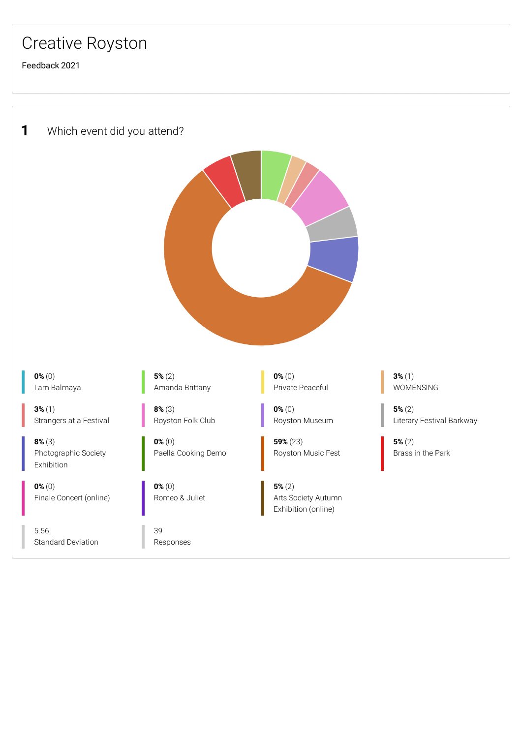## Creative Royston

Feedback 2021

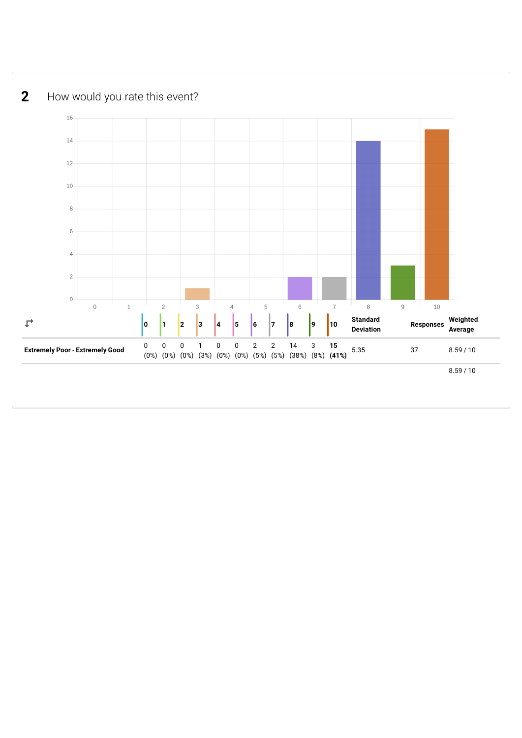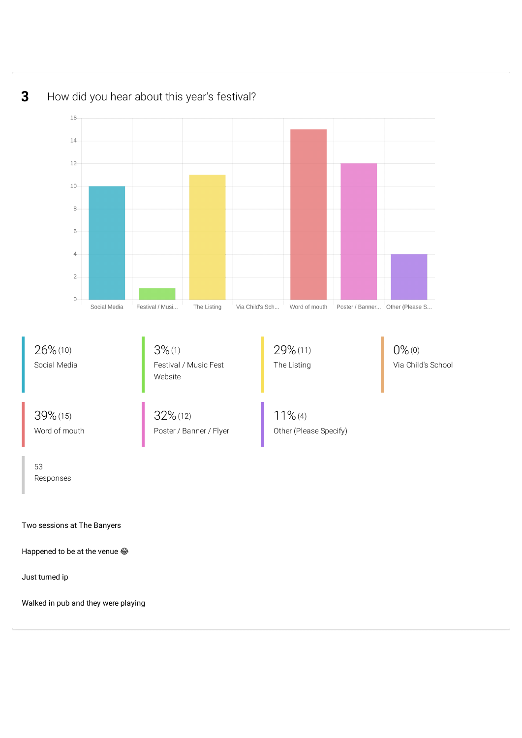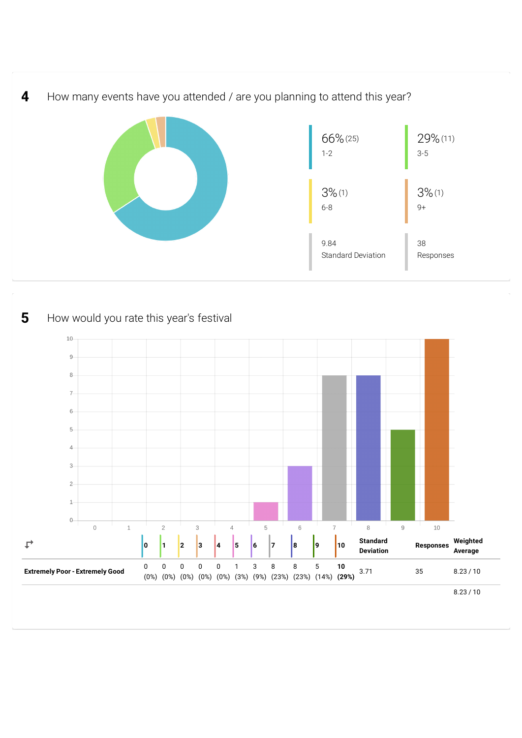

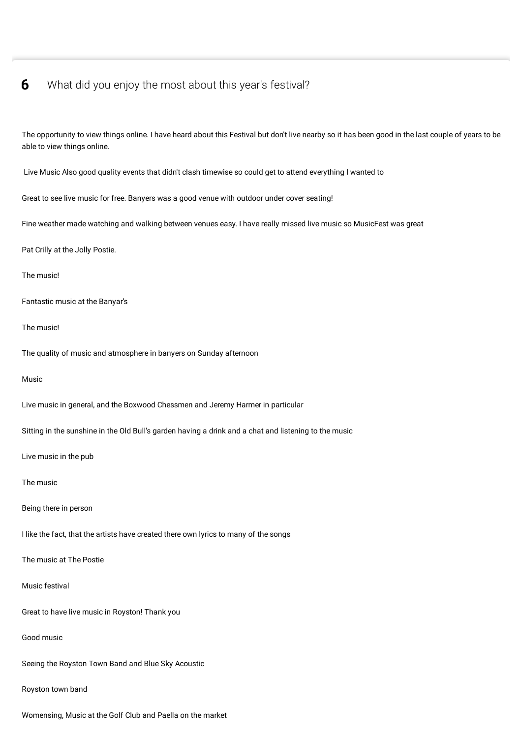## **6** What did you enjoy the most about this year's festival?

able to view things online. Live Music Also good quality events that didn't clash timewise so could get to attend everything I wanted to Great to see live music for free. Banyers was a good venue with outdoor under cover seating! Fine weather made watching and walking between venues easy. I have really missed live music so MusicFest was great Pat Crilly at the Jolly Postie. The music! Fantastic music at the Banyar's The music! The quality of music and atmosphere in banyers on Sunday afternoon Music Live music in general, and the Boxwood Chessmen and Jeremy Harmer in particular Sitting in the sunshine in the Old Bull's garden having a drink and a chat and listening to the music Live music in the pub The music Being there in person I like the fact, that the artists have created there own lyrics to many of the songs The music at The Postie Music festival Great to have live music in Royston! Thank you Good music Seeing the Royston Town Band and Blue Sky Acoustic Royston town band Womensing, Music at the Golf Club and Paella on the market

The opportunity to view things online. I have heard about this Festival but don't live nearby so it has been good in the last couple of years to be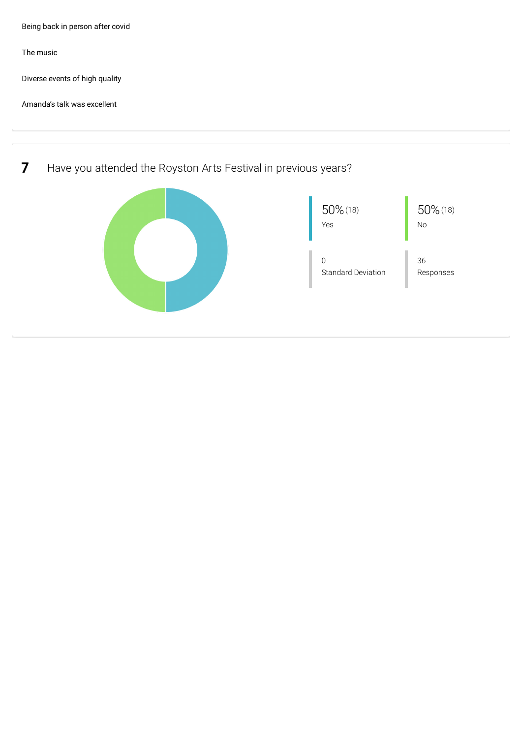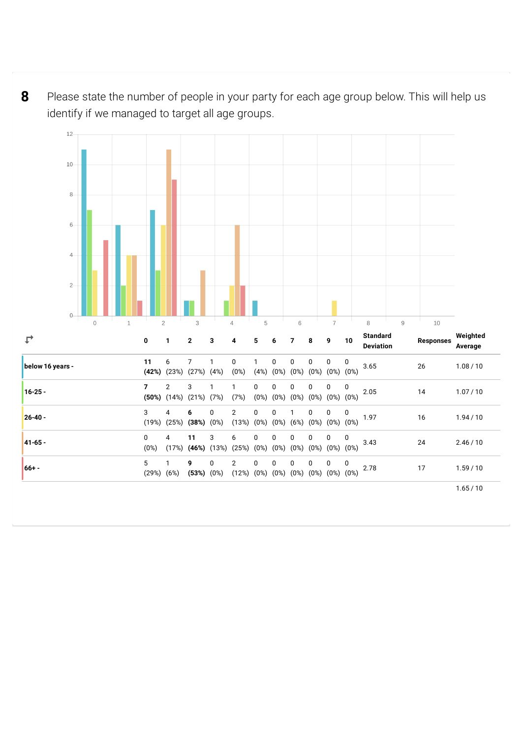Please state the number of people in your party for each age group below. This will help us identify if we managed to target all age groups. 

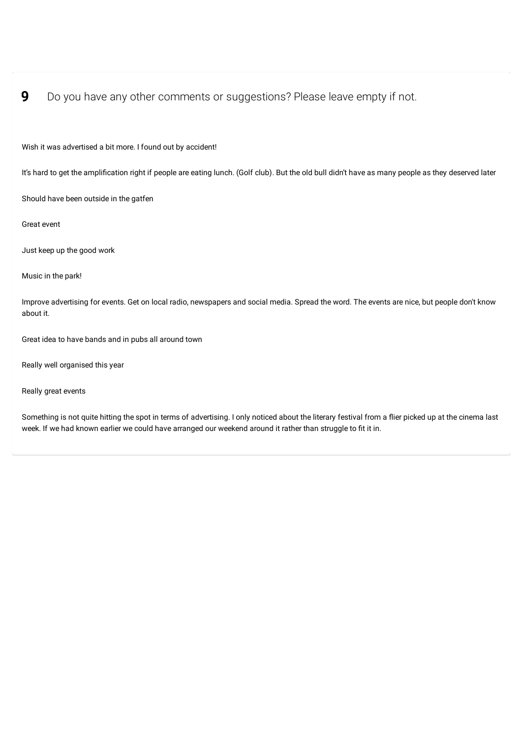## **9** Do you have any other comments or suggestions? Please leave empty if not.

Wish it was advertised a bit more. I found out by accident!

It's hard to get the amplification right if people are eating lunch. (Golf club). But the old bull didn't have as many people as they deserved later

Should have been outside in the gatfen

Great event

Just keep up the good work

Music in the park!

Improve advertising for events. Get on local radio, newspapers and social media. Spread the word. The events are nice, but people don't know about it.

Great idea to have bands and in pubs all around town

Really well organised this year

Really great events

Something is not quite hitting the spot in terms of advertising. I only noticed about the literary festival from a flier picked up at the cinema last week. If we had known earlier we could have arranged our weekend around it rather than struggle to fit it in.